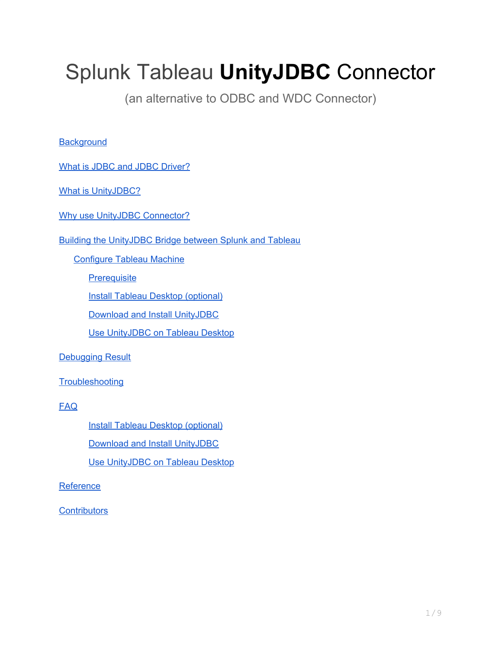# Splunk Tableau **UnityJDBC** Connector

(an alternative to ODBC and WDC Connector)

**[Background](#page-1-0)** 

What is JDBC and JDBC [Driver?](#page-2-0)

What is [UnityJDBC?](#page-2-1)

Why use UnityJDBC [Connector?](#page-2-2)

Building the [UnityJDBC](#page-2-3) Bridge between Splunk and Tableau

[Configure](#page-2-4) Tableau Machine

**[Prerequisite](#page-2-5)** 

Install Tableau Desktop [\(optional\)](#page-2-6)

Download and Install [UnityJDBC](#page-3-0)

Use [UnityJDBC](#page-4-0) on Tableau Desktop

[Debugging](#page-6-0) Result

**[Troubleshooting](#page-7-0)** 

[FAQ](#page-8-0)

Install Tableau Desktop [\(optional\)](#page-8-1)

Download and Install [UnityJDBC](#page-8-2)

Use [UnityJDBC](#page-8-3) on Tableau Desktop

**[Reference](#page-8-4)** 

**[Contributors](#page-8-5)**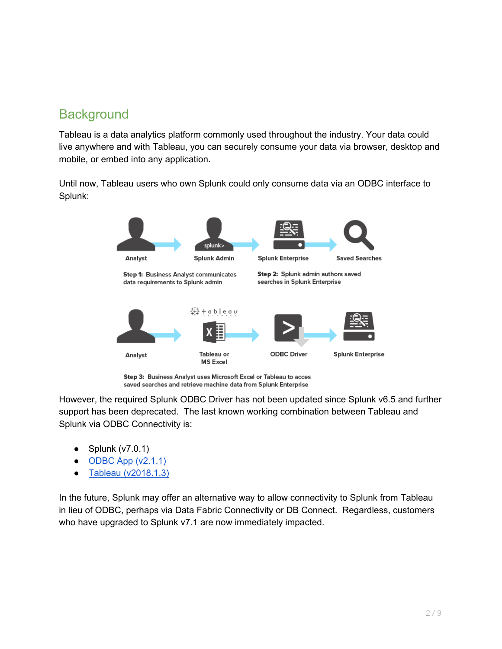# <span id="page-1-0"></span>**Background**

Tableau is a data analytics platform commonly used throughout the industry. Your data could live anywhere and with Tableau, you can securely consume your data via browser, desktop and mobile, or embed into any application.

Until now, Tableau users who own Splunk could only consume data via an ODBC interface to Splunk:



Step 3: Business Analyst uses Microsoft Excel or Tableau to acces saved searches and retrieve machine data from Splunk Enterprise

However, the required Splunk ODBC Driver has not been updated since Splunk v6.5 and further support has been deprecated. The last known working combination between Tableau and Splunk via ODBC Connectivity is:

- Splunk (v7.0.1)
- $\bullet$  ODBC App [\(v2.1.1\)](https://splunkbase.splunk.com/app/1606/)
- Tableau [\(v2018.1.3\)](https://www.tableau.com/support/releases/server/2018.1.3)

In the future, Splunk may offer an alternative way to allow connectivity to Splunk from Tableau in lieu of ODBC, perhaps via Data Fabric Connectivity or DB Connect. Regardless, customers who have upgraded to Splunk v7.1 are now immediately impacted.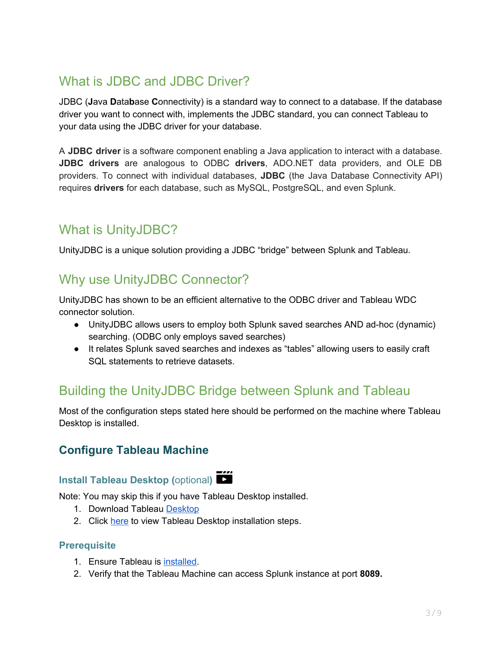# <span id="page-2-0"></span>What is JDBC and JDBC Driver?

JDBC (**J**ava **D**ata**b**ase **C**onnectivity) is a standard way to connect to a database. If the database driver you want to connect with, implements the JDBC standard, you can connect Tableau to your data using the JDBC driver for your database.

A **JDBC driver** is a software component enabling a Java application to interact with a database. **JDBC drivers** are analogous to ODBC **drivers**, ADO.NET data providers, and OLE DB providers. To connect with individual databases, **JDBC** (the Java Database Connectivity API) requires **drivers** for each database, such as MySQL, PostgreSQL, and even Splunk.

## <span id="page-2-1"></span>What is UnityJDBC?

<span id="page-2-2"></span>UnityJDBC is a unique solution providing a JDBC "bridge" between Splunk and Tableau.

# Why use UnityJDBC Connector?

UnityJDBC has shown to be an efficient alternative to the ODBC driver and Tableau WDC connector solution.

- UnityJDBC allows users to employ both Splunk saved searches AND ad-hoc (dynamic) searching. (ODBC only employs saved searches)
- It relates Splunk saved searches and indexes as "tables" allowing users to easily craft SQL statements to retrieve datasets.

# <span id="page-2-3"></span>Building the UnityJDBC Bridge between Splunk and Tableau

Most of the configuration steps stated here should be performed on the machine where Tableau Desktop is installed.

### <span id="page-2-4"></span>**Configure Tableau Machine**

#### <span id="page-2-6"></span>**Install [Tableau Desktop \(](https://i.imgur.com/dAlqCKj.gifv)[optional](https://i.imgur.com/dAlqCKj.gifv))**

Note: You may skip this if you have Tableau Desktop installed.

- 1. Download Tableau [Desktop](https://www.tableau.com/Amazon-Web-Services/Marketplace)
- 2. Click [here](https://i.imgur.com/dAlqCKj.gifv) to view Tableau Desktop installation steps.

#### <span id="page-2-5"></span>**Prerequisite**

- 1. Ensure Tableau is [installed.](#page-2-6)
- 2. Verify that the Tableau Machine can access Splunk instance at port **8089.**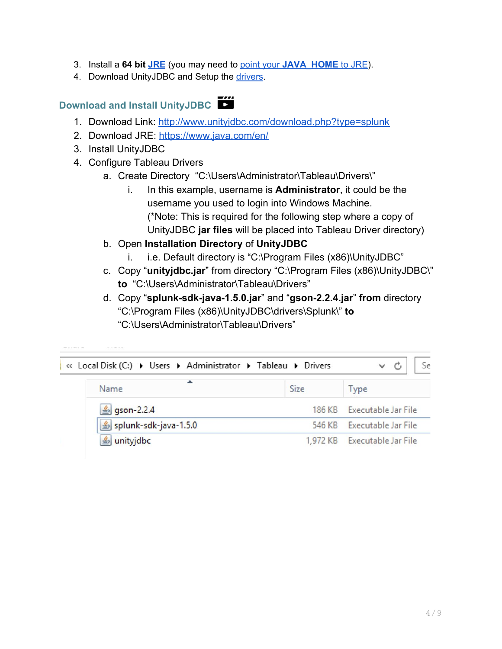- 3. Install a **64 bit [JRE](#page-3-0)** (you may need to [point](https://confluence.atlassian.com/doc/setting-the-java_home-variable-in-windows-8895.html) your **[JAVA\\_HOME](https://confluence.atlassian.com/doc/setting-the-java_home-variable-in-windows-8895.html)** to [JRE\)](https://confluence.atlassian.com/doc/setting-the-java_home-variable-in-windows-8895.html).
- 4. Download UnityJDBC and Setup the [drivers](#page-3-0).

# <span id="page-3-0"></span>**[Download and Install UnityJDBC](https://i.imgur.com/Y3p1HTI.gifv)**

- 1. Download Link: <http://www.unityjdbc.com/download.php?type=splunk>
- 2. Download JRE: <https://www.java.com/en/>
- 3. Install UnityJDBC
- 4. Configure Tableau Drivers
	- a. Create Directory "C:\Users\Administrator\Tableau\Drivers\"
		- i. In this example, username is **Administrator**, it could be the username you used to login into Windows Machine. (\*Note: This is required for the following step where a copy of UnityJDBC **jar files** will be placed into Tableau Driver directory)
	- b. Open **Installation Directory** of **UnityJDBC**
		- i. i.e. Default directory is "C:\Program Files (x86)\UnityJDBC"
	- c. Copy "**unityjdbc.jar**" from directory "C:\Program Files (x86)\UnityJDBC\" **to** "C:\Users\Administrator\Tableau\Drivers"
	- d. Copy "**splunk-sdk-java-1.5.0.jar**" and "**gson-2.2.4.jar**" **from** directory "C:\Program Files (x86)\UnityJDBC\drivers\Splunk\" **to** "C:\Users\Administrator\Tableau\Drivers"

| « Local Disk (C:) ▶ Users ▶ Administrator ▶ Tableau ▶ Drivers |             | Se<br>$\checkmark$           |
|---------------------------------------------------------------|-------------|------------------------------|
| ▴<br>Name                                                     | <b>Size</b> | <b>Type</b>                  |
| $\leq$ gson-2.2.4                                             |             | 186 KB Executable Jar File   |
| splunk-sdk-java-1.5.0                                         |             | 546 KB Executable Jar File   |
| s unityjdbc                                                   |             | 1,972 KB Executable Jar File |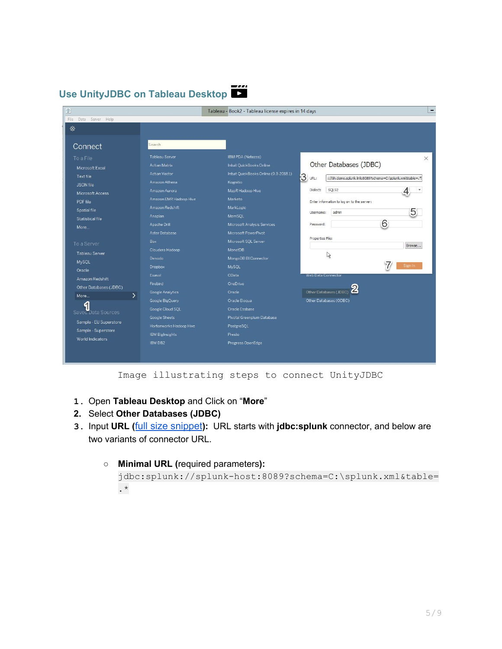# <span id="page-4-0"></span>**[Use UnityJDBC on](https://i.imgur.com/hqp2Dxk.gifv) [Tableau Desktop](https://i.imgur.com/hqp2Dxk.gifv)**



Image illustrating steps to connect UnityJDBC

- **1.** Open **Tableau Desktop** and Click on "**More**"
- **2.** Select **Other Databases (JDBC)**
- **3.** Input **URL (**[full size snippet](https://i.imgur.com/I2HPz3y.png)**):** URL starts with **jdbc:splunk** connector, and below are two variants of connector URL.
	- **○ Minimal URL (**required parameters**):**

```
jdbc:splunk://splunk-host:8089?schema=C:\splunk.xml&table=
.*
```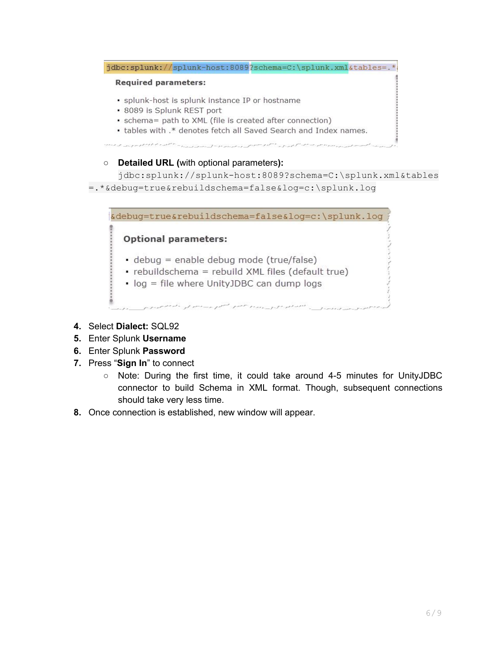

- **4.** Select **Dialect:** SQL92
- **5.** Enter Splunk **Username**
- **6.** Enter Splunk **Password**
- **7.** Press "**Sign In**" to connect
	- $\circ$  Note: During the first time, it could take around 4-5 minutes for UnityJDBC connector to build Schema in XML format. Though, subsequent connections should take very less time.
- **8.** Once connection is established, new window will appear.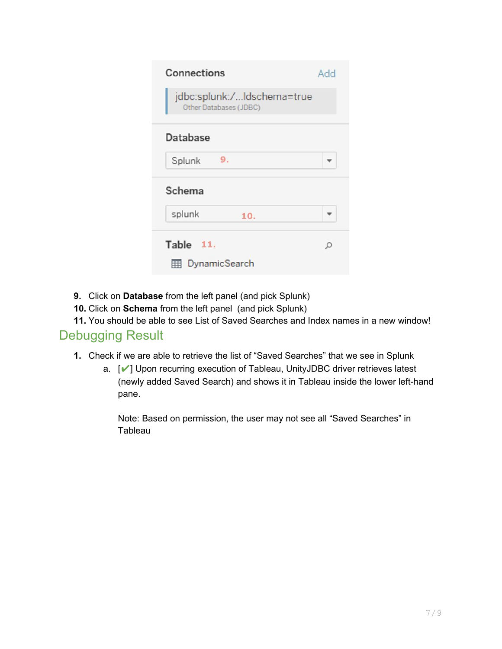| Connections                                          | Add |
|------------------------------------------------------|-----|
| jdbc:splunk:/ldschema=true<br>Other Databases (JDBC) |     |
| Database                                             |     |
| 9.<br>Splunk                                         |     |
| Schema                                               |     |
| splunk<br>10.                                        |     |
| Table 11.                                            | Ω   |
| <b>EDynamicSearch</b>                                |     |

- **9.** Click on **Database** from the left panel (and pick Splunk)
- **10.** Click on **Schema** from the left panel (and pick Splunk)

<span id="page-6-0"></span>**11.** You should be able to see List of Saved Searches and Index names in a new window! Debugging Result

- **1.** Check if we are able to retrieve the list of "Saved Searches" that we see in Splunk
	- a. [✔] Upon recurring execution of Tableau, UnityJDBC driver retrieves latest (newly added Saved Search) and shows it in Tableau inside the lower left-hand pane.

Note: Based on permission, the user may not see all "Saved Searches" in Tableau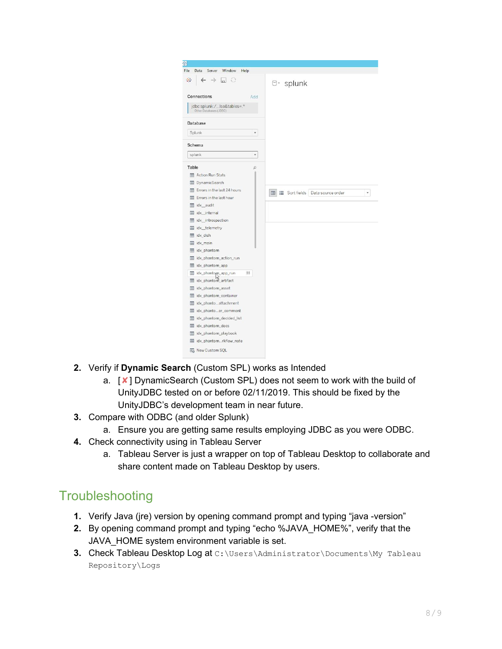

- **2.** Verify if **Dynamic Search** (Custom SPL) works as Intended
	- a. [✘] DynamicSearch (Custom SPL) does not seem to work with the build of UnityJDBC tested on or before 02/11/2019. This should be fixed by the UnityJDBC's development team in near future.
- **3.** Compare with ODBC (and older Splunk)
	- a. Ensure you are getting same results employing JDBC as you were ODBC.
- **4.** Check connectivity using in Tableau Server
	- a. Tableau Server is just a wrapper on top of Tableau Desktop to collaborate and share content made on Tableau Desktop by users.

## <span id="page-7-0"></span>**Troubleshooting**

- **1.** Verify Java (jre) version by opening command prompt and typing "java -version"
- **2.** By opening command prompt and typing "echo %JAVA\_HOME%", verify that the JAVA\_HOME system environment variable is set.
- **3.** Check Tableau Desktop Log at  $C:\Upsilon\$ Sers\Administrator\Documents\My Tableau Repository\Logs